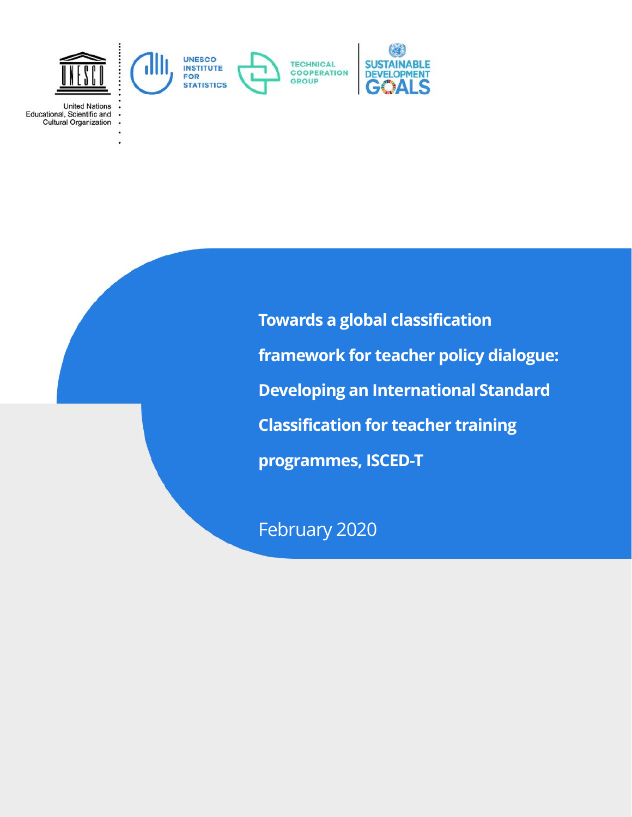

**United Nations** Educational, Scientific and **Cultural Organization** 

> **Towards a global classification framework for teacher policy dialogue: Developing an International Standard Classification for teacher training programmes, ISCED-T**

February 2020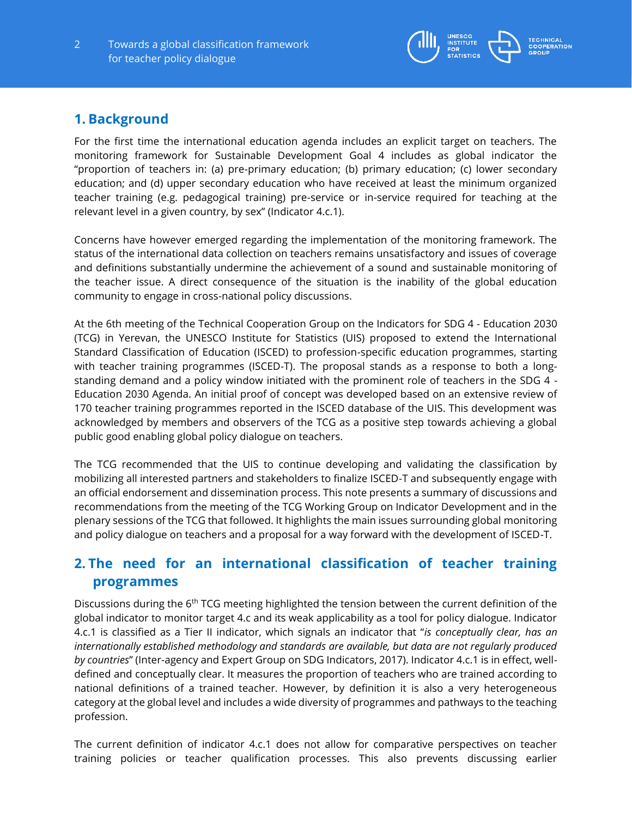

## **1. Background**

For the first time the international education agenda includes an explicit target on teachers. The monitoring framework for Sustainable Development Goal 4 includes as global indicator the "proportion of teachers in: (a) pre-primary education; (b) primary education; (c) lower secondary education; and (d) upper secondary education who have received at least the minimum organized teacher training (e.g. pedagogical training) pre-service or in-service required for teaching at the relevant level in a given country, by sex" (Indicator 4.c.1).

Concerns have however emerged regarding the implementation of the monitoring framework. The status of the international data collection on teachers remains unsatisfactory and issues of coverage and definitions substantially undermine the achievement of a sound and sustainable monitoring of the teacher issue. A direct consequence of the situation is the inability of the global education community to engage in cross-national policy discussions.

At the 6th meeting of the Technical Cooperation Group on the Indicators for SDG 4 - Education 2030 (TCG) in Yerevan, the UNESCO Institute for Statistics (UIS) proposed to extend the International Standard Classification of Education (ISCED) to profession-specific education programmes, starting with teacher training programmes (ISCED-T). The proposal stands as a response to both a longstanding demand and a policy window initiated with the prominent role of teachers in the SDG 4 - Education 2030 Agenda. An initial proof of concept was developed based on an extensive review of 170 teacher training programmes reported in the ISCED database of the UIS. This development was acknowledged by members and observers of the TCG as a positive step towards achieving a global public good enabling global policy dialogue on teachers.

The TCG recommended that the UIS to continue developing and validating the classification by mobilizing all interested partners and stakeholders to finalize ISCED-T and subsequently engage with an official endorsement and dissemination process. This note presents a summary of discussions and recommendations from the meeting of the TCG Working Group on Indicator Development and in the plenary sessions of the TCG that followed. It highlights the main issues surrounding global monitoring and policy dialogue on teachers and a proposal for a way forward with the development of ISCED-T.

# **2. The need for an international classification of teacher training programmes**

Discussions during the 6<sup>th</sup> TCG meeting highlighted the tension between the current definition of the global indicator to monitor target 4.c and its weak applicability as a tool for policy dialogue. Indicator 4.c.1 is classified as a Tier II indicator, which signals an indicator that "*is conceptually clear, has an internationally established methodology and standards are available, but data are not regularly produced by countries*" (Inter-agency and Expert Group on SDG Indicators, 2017). Indicator 4.c.1 is in effect, welldefined and conceptually clear. It measures the proportion of teachers who are trained according to national definitions of a trained teacher. However, by definition it is also a very heterogeneous category at the global level and includes a wide diversity of programmes and pathways to the teaching profession.

The current definition of indicator 4.c.1 does not allow for comparative perspectives on teacher training policies or teacher qualification processes. This also prevents discussing earlier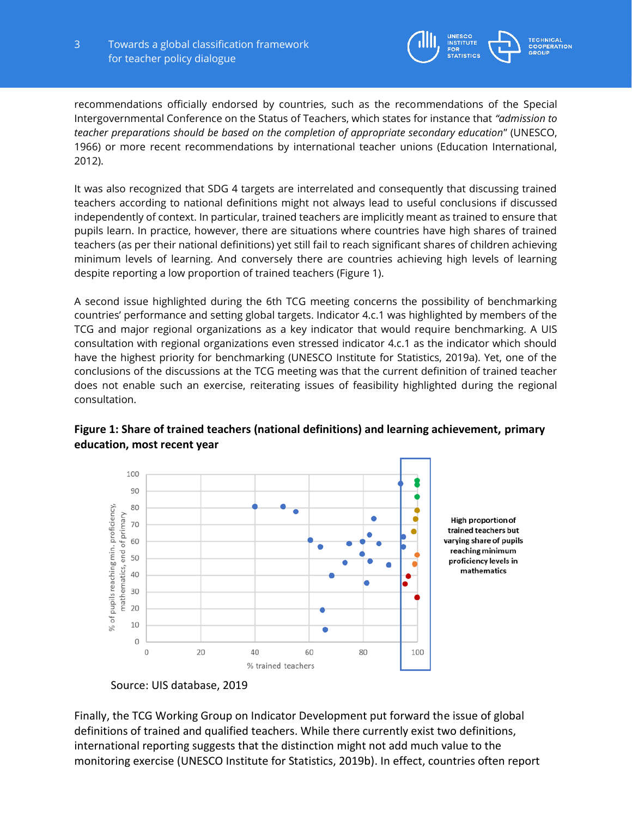

recommendations officially endorsed by countries, such as the recommendations of the Special Intergovernmental Conference on the Status of Teachers, which states for instance that *"admission to teacher preparations should be based on the completion of appropriate secondary education*" (UNESCO, 1966) or more recent recommendations by international teacher unions (Education International, 2012).

It was also recognized that SDG 4 targets are interrelated and consequently that discussing trained teachers according to national definitions might not always lead to useful conclusions if discussed independently of context. In particular, trained teachers are implicitly meant as trained to ensure that pupils learn. In practice, however, there are situations where countries have high shares of trained teachers (as per their national definitions) yet still fail to reach significant shares of children achieving minimum levels of learning. And conversely there are countries achieving high levels of learning despite reporting a low proportion of trained teachers (Figure 1).

A second issue highlighted during the 6th TCG meeting concerns the possibility of benchmarking countries' performance and setting global targets. Indicator 4.c.1 was highlighted by members of the TCG and major regional organizations as a key indicator that would require benchmarking. A UIS consultation with regional organizations even stressed indicator 4.c.1 as the indicator which should have the highest priority for benchmarking (UNESCO Institute for Statistics, 2019a). Yet, one of the conclusions of the discussions at the TCG meeting was that the current definition of trained teacher does not enable such an exercise, reiterating issues of feasibility highlighted during the regional consultation.



### **Figure 1: Share of trained teachers (national definitions) and learning achievement, primary education, most recent year**

Finally, the TCG Working Group on Indicator Development put forward the issue of global definitions of trained and qualified teachers. While there currently exist two definitions, international reporting suggests that the distinction might not add much value to the monitoring exercise (UNESCO Institute for Statistics, 2019b). In effect, countries often report

Source: UIS database, 2019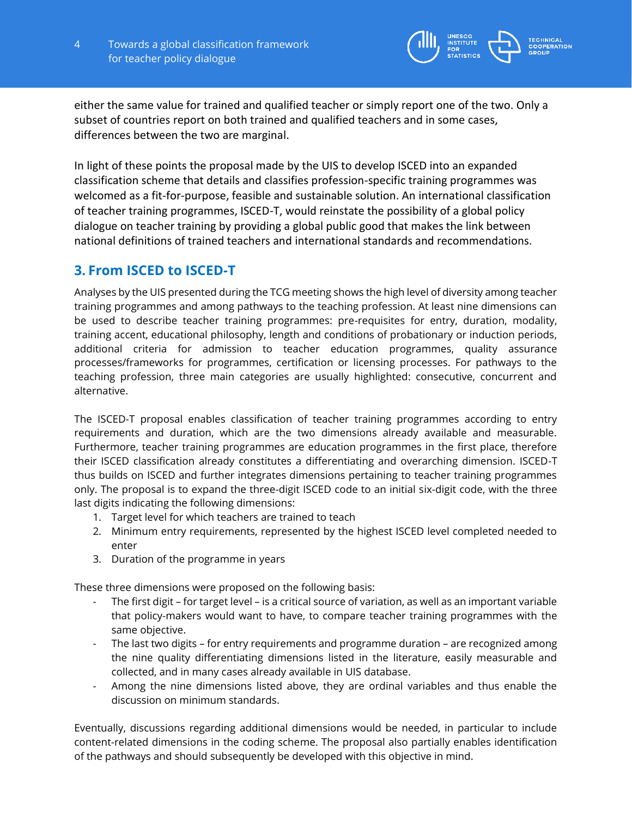

either the same value for trained and qualified teacher or simply report one of the two. Only a subset of countries report on both trained and qualified teachers and in some cases, differences between the two are marginal.

In light of these points the proposal made by the UIS to develop ISCED into an expanded classification scheme that details and classifies profession-specific training programmes was welcomed as a fit-for-purpose, feasible and sustainable solution. An international classification of teacher training programmes, ISCED-T, would reinstate the possibility of a global policy dialogue on teacher training by providing a global public good that makes the link between national definitions of trained teachers and international standards and recommendations.

### **3. From ISCED to ISCED-T**

Analyses by the UIS presented during the TCG meeting shows the high level of diversity among teacher training programmes and among pathways to the teaching profession. At least nine dimensions can be used to describe teacher training programmes: pre-requisites for entry, duration, modality, training accent, educational philosophy, length and conditions of probationary or induction periods, additional criteria for admission to teacher education programmes, quality assurance processes/frameworks for programmes, certification or licensing processes. For pathways to the teaching profession, three main categories are usually highlighted: consecutive, concurrent and alternative.

The ISCED-T proposal enables classification of teacher training programmes according to entry requirements and duration, which are the two dimensions already available and measurable. Furthermore, teacher training programmes are education programmes in the first place, therefore their ISCED classification already constitutes a differentiating and overarching dimension. ISCED-T thus builds on ISCED and further integrates dimensions pertaining to teacher training programmes only. The proposal is to expand the three-digit ISCED code to an initial six-digit code, with the three last digits indicating the following dimensions:

- 1. Target level for which teachers are trained to teach
- 2. Minimum entry requirements, represented by the highest ISCED level completed needed to enter
- 3. Duration of the programme in years

These three dimensions were proposed on the following basis:

- The first digit for target level is a critical source of variation, as well as an important variable that policy-makers would want to have, to compare teacher training programmes with the same objective.
- The last two digits for entry requirements and programme duration are recognized among the nine quality differentiating dimensions listed in the literature, easily measurable and collected, and in many cases already available in UIS database.
- Among the nine dimensions listed above, they are ordinal variables and thus enable the discussion on minimum standards.

Eventually, discussions regarding additional dimensions would be needed, in particular to include content-related dimensions in the coding scheme. The proposal also partially enables identification of the pathways and should subsequently be developed with this objective in mind.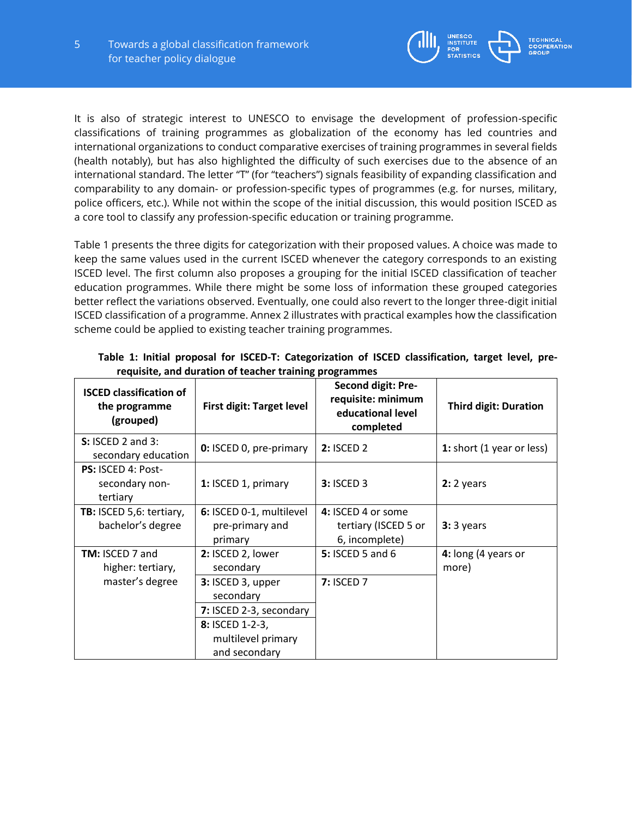

It is also of strategic interest to UNESCO to envisage the development of profession-specific classifications of training programmes as globalization of the economy has led countries and international organizations to conduct comparative exercises of training programmes in several fields (health notably), but has also highlighted the difficulty of such exercises due to the absence of an international standard. The letter "T" (for "teachers") signals feasibility of expanding classification and comparability to any domain- or profession-specific types of programmes (e.g. for nurses, military, police officers, etc.). While not within the scope of the initial discussion, this would position ISCED as a core tool to classify any profession-specific education or training programme.

Table 1 presents the three digits for categorization with their proposed values. A choice was made to keep the same values used in the current ISCED whenever the category corresponds to an existing ISCED level. The first column also proposes a grouping for the initial ISCED classification of teacher education programmes. While there might be some loss of information these grouped categories better reflect the variations observed. Eventually, one could also revert to the longer three-digit initial ISCED classification of a programme. Annex 2 illustrates with practical examples how the classification scheme could be applied to existing teacher training programmes.

| <b>ISCED classification of</b><br>the programme<br>(grouped) | <b>First digit: Target level</b>                       | <b>Second digit: Pre-</b><br>requisite: minimum<br>educational level<br>completed | <b>Third digit: Duration</b> |  |
|--------------------------------------------------------------|--------------------------------------------------------|-----------------------------------------------------------------------------------|------------------------------|--|
| $S: ISCED$ 2 and 3:<br>secondary education                   | <b>0:</b> ISCED 0, pre-primary                         | <b>2: ISCED 2</b>                                                                 | 1: short (1 year or less)    |  |
| PS: ISCED 4: Post-<br>secondary non-<br>tertiary             | 1: ISCED 1, primary                                    | <b>3: ISCED 3</b>                                                                 | $2:2$ years                  |  |
| TB: ISCED 5,6: tertiary,<br>bachelor's degree                | 6: ISCED 0-1, multilevel<br>pre-primary and<br>primary | 4: ISCED 4 or some<br>tertiary (ISCED 5 or<br>6, incomplete)                      | $3:3$ years                  |  |
| <b>TM: ISCED 7 and</b><br>higher: tertiary,                  | 2: ISCED 2, lower<br>secondary                         | <b>5: ISCED 5 and 6</b>                                                           | 4: long (4 years or<br>more) |  |
| master's degree                                              | 3: ISCED 3, upper<br>secondary                         | <b>7: ISCED 7</b>                                                                 |                              |  |
|                                                              | 7: ISCED 2-3, secondary                                |                                                                                   |                              |  |
|                                                              | 8: ISCED 1-2-3,<br>multilevel primary<br>and secondary |                                                                                   |                              |  |

**Table 1: Initial proposal for ISCED-T: Categorization of ISCED classification, target level, prerequisite, and duration of teacher training programmes**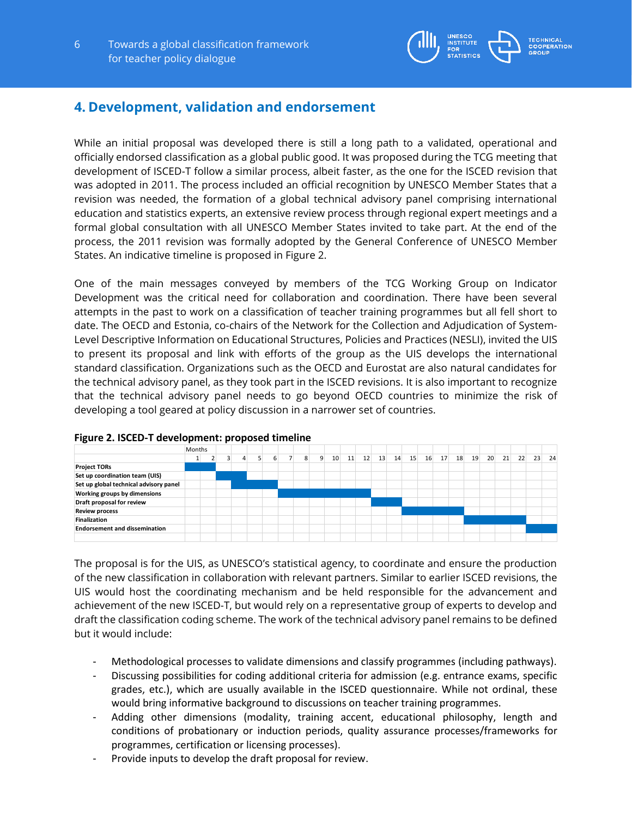

## **4. Development, validation and endorsement**

While an initial proposal was developed there is still a long path to a validated, operational and officially endorsed classification as a global public good. It was proposed during the TCG meeting that development of ISCED-T follow a similar process, albeit faster, as the one for the ISCED revision that was adopted in 2011. The process included an official recognition by UNESCO Member States that a revision was needed, the formation of a global technical advisory panel comprising international education and statistics experts, an extensive review process through regional expert meetings and a formal global consultation with all UNESCO Member States invited to take part. At the end of the process, the 2011 revision was formally adopted by the General Conference of UNESCO Member States. An indicative timeline is proposed in Figure 2.

One of the main messages conveyed by members of the TCG Working Group on Indicator Development was the critical need for collaboration and coordination. There have been several attempts in the past to work on a classification of teacher training programmes but all fell short to date. The OECD and Estonia, co-chairs of the Network for the Collection and Adjudication of System-Level Descriptive Information on Educational Structures, Policies and Practices (NESLI), invited the UIS to present its proposal and link with efforts of the group as the UIS develops the international standard classification. Organizations such as the OECD and Eurostat are also natural candidates for the technical advisory panel, as they took part in the ISCED revisions. It is also important to recognize that the technical advisory panel needs to go beyond OECD countries to minimize the risk of developing a tool geared at policy discussion in a narrower set of countries.



#### **Figure 2. ISCED-T development: proposed timeline**

The proposal is for the UIS, as UNESCO's statistical agency, to coordinate and ensure the production of the new classification in collaboration with relevant partners. Similar to earlier ISCED revisions, the UIS would host the coordinating mechanism and be held responsible for the advancement and achievement of the new ISCED-T, but would rely on a representative group of experts to develop and draft the classification coding scheme. The work of the technical advisory panel remains to be defined but it would include:

- Methodological processes to validate dimensions and classify programmes (including pathways).
- Discussing possibilities for coding additional criteria for admission (e.g. entrance exams, specific grades, etc.), which are usually available in the ISCED questionnaire. While not ordinal, these would bring informative background to discussions on teacher training programmes.
- Adding other dimensions (modality, training accent, educational philosophy, length and conditions of probationary or induction periods, quality assurance processes/frameworks for programmes, certification or licensing processes).
- Provide inputs to develop the draft proposal for review.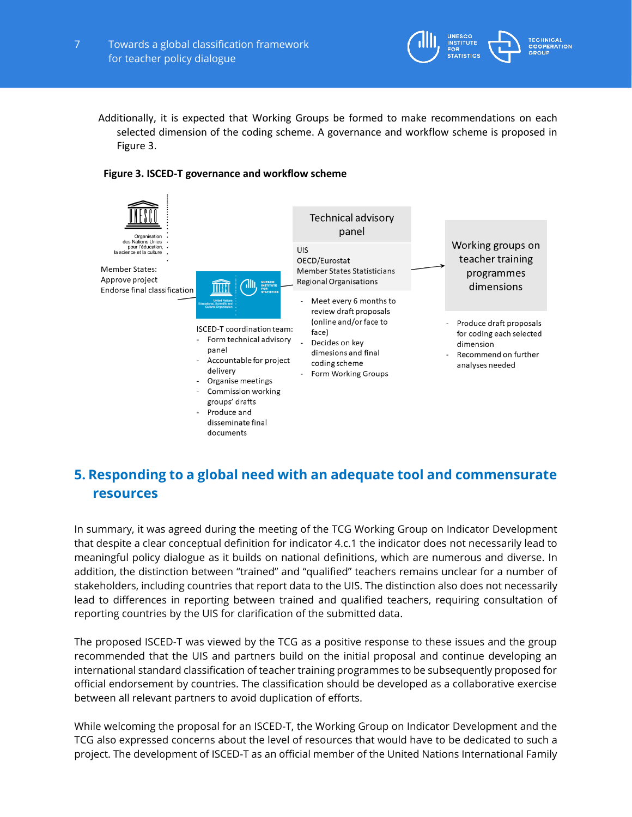

Additionally, it is expected that Working Groups be formed to make recommendations on each selected dimension of the coding scheme. A governance and workflow scheme is proposed in Figure 3.



#### **Figure 3. ISCED-T governance and workflow scheme**

# **5. Responding to a global need with an adequate tool and commensurate resources**

In summary, it was agreed during the meeting of the TCG Working Group on Indicator Development that despite a clear conceptual definition for indicator 4.c.1 the indicator does not necessarily lead to meaningful policy dialogue as it builds on national definitions, which are numerous and diverse. In addition, the distinction between "trained" and "qualified" teachers remains unclear for a number of stakeholders, including countries that report data to the UIS. The distinction also does not necessarily lead to differences in reporting between trained and qualified teachers, requiring consultation of reporting countries by the UIS for clarification of the submitted data.

The proposed ISCED-T was viewed by the TCG as a positive response to these issues and the group recommended that the UIS and partners build on the initial proposal and continue developing an international standard classification of teacher training programmes to be subsequently proposed for official endorsement by countries. The classification should be developed as a collaborative exercise between all relevant partners to avoid duplication of efforts.

While welcoming the proposal for an ISCED-T, the Working Group on Indicator Development and the TCG also expressed concerns about the level of resources that would have to be dedicated to such a project. The development of ISCED-T as an official member of the United Nations International Family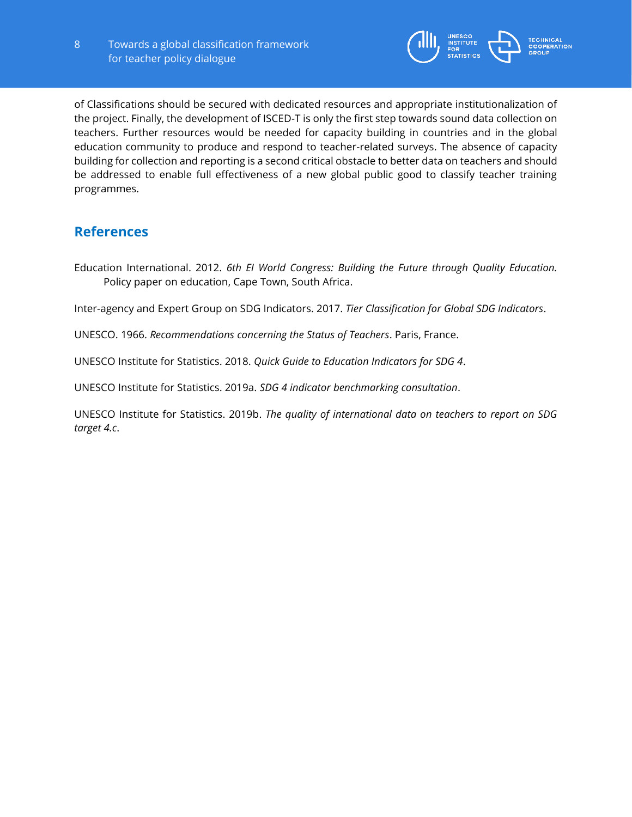

of Classifications should be secured with dedicated resources and appropriate institutionalization of the project. Finally, the development of ISCED-T is only the first step towards sound data collection on teachers. Further resources would be needed for capacity building in countries and in the global education community to produce and respond to teacher-related surveys. The absence of capacity building for collection and reporting is a second critical obstacle to better data on teachers and should be addressed to enable full effectiveness of a new global public good to classify teacher training programmes.

## **References**

Education International. 2012. *6th EI World Congress: Building the Future through Quality Education.* Policy paper on education, Cape Town, South Africa.

Inter-agency and Expert Group on SDG Indicators. 2017. *Tier Classification for Global SDG Indicators*.

UNESCO. 1966. *Recommendations concerning the Status of Teachers*. Paris, France.

UNESCO Institute for Statistics. 2018. *Quick Guide to Education Indicators for SDG 4*.

UNESCO Institute for Statistics. 2019a. *SDG 4 indicator benchmarking consultation*.

UNESCO Institute for Statistics. 2019b. *The quality of international data on teachers to report on SDG target 4.c*.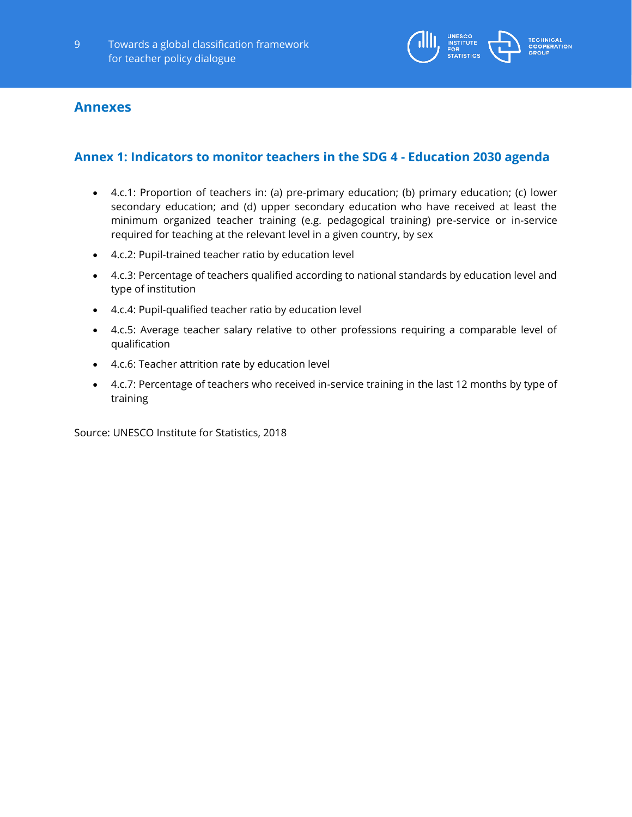

### **Annexes**

### **Annex 1: Indicators to monitor teachers in the SDG 4 - Education 2030 agenda**

- 4.c.1: Proportion of teachers in: (a) pre-primary education; (b) primary education; (c) lower secondary education; and (d) upper secondary education who have received at least the minimum organized teacher training (e.g. pedagogical training) pre-service or in-service required for teaching at the relevant level in a given country, by sex
- 4.c.2: Pupil-trained teacher ratio by education level
- 4.c.3: Percentage of teachers qualified according to national standards by education level and type of institution
- 4.c.4: Pupil-qualified teacher ratio by education level
- 4.c.5: Average teacher salary relative to other professions requiring a comparable level of qualification
- 4.c.6: Teacher attrition rate by education level
- 4.c.7: Percentage of teachers who received in-service training in the last 12 months by type of training

Source: UNESCO Institute for Statistics, 2018